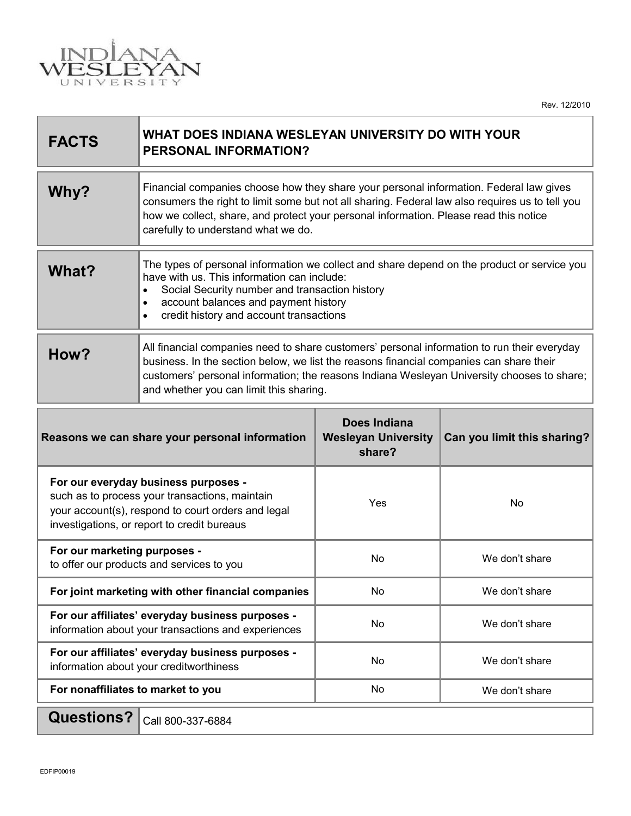

Rev. 12/2010

| <b>FACTS</b>                                                                                                                                                                                | WHAT DOES INDIANA WESLEYAN UNIVERSITY DO WITH YOUR<br><b>PERSONAL INFORMATION?</b>                                                                                                                                                                                                                                              |                                                             |                             |
|---------------------------------------------------------------------------------------------------------------------------------------------------------------------------------------------|---------------------------------------------------------------------------------------------------------------------------------------------------------------------------------------------------------------------------------------------------------------------------------------------------------------------------------|-------------------------------------------------------------|-----------------------------|
| Why?                                                                                                                                                                                        | Financial companies choose how they share your personal information. Federal law gives<br>consumers the right to limit some but not all sharing. Federal law also requires us to tell you<br>how we collect, share, and protect your personal information. Please read this notice<br>carefully to understand what we do.       |                                                             |                             |
| What?                                                                                                                                                                                       | The types of personal information we collect and share depend on the product or service you<br>have with us. This information can include:<br>Social Security number and transaction history<br>$\bullet$<br>account balances and payment history<br>$\bullet$<br>credit history and account transactions<br>$\bullet$          |                                                             |                             |
| How?                                                                                                                                                                                        | All financial companies need to share customers' personal information to run their everyday<br>business. In the section below, we list the reasons financial companies can share their<br>customers' personal information; the reasons Indiana Wesleyan University chooses to share;<br>and whether you can limit this sharing. |                                                             |                             |
| Reasons we can share your personal information                                                                                                                                              |                                                                                                                                                                                                                                                                                                                                 | <b>Does Indiana</b><br><b>Wesleyan University</b><br>share? | Can you limit this sharing? |
| For our everyday business purposes -<br>such as to process your transactions, maintain<br>your account(s), respond to court orders and legal<br>investigations, or report to credit bureaus |                                                                                                                                                                                                                                                                                                                                 | Yes                                                         | No                          |
| For our marketing purposes -<br>to offer our products and services to you                                                                                                                   |                                                                                                                                                                                                                                                                                                                                 | <b>No</b>                                                   | We don't share              |
| For joint marketing with other financial companies                                                                                                                                          |                                                                                                                                                                                                                                                                                                                                 | No                                                          | We don't share              |
| For our affiliates' everyday business purposes -<br>information about your transactions and experiences                                                                                     |                                                                                                                                                                                                                                                                                                                                 | No                                                          | We don't share              |
| For our affiliates' everyday business purposes -<br>information about your creditworthiness                                                                                                 |                                                                                                                                                                                                                                                                                                                                 | No                                                          | We don't share              |
| For nonaffiliates to market to you                                                                                                                                                          |                                                                                                                                                                                                                                                                                                                                 | No                                                          | We don't share              |
| <b>Questions?</b>                                                                                                                                                                           | Call 800-337-6884                                                                                                                                                                                                                                                                                                               |                                                             |                             |